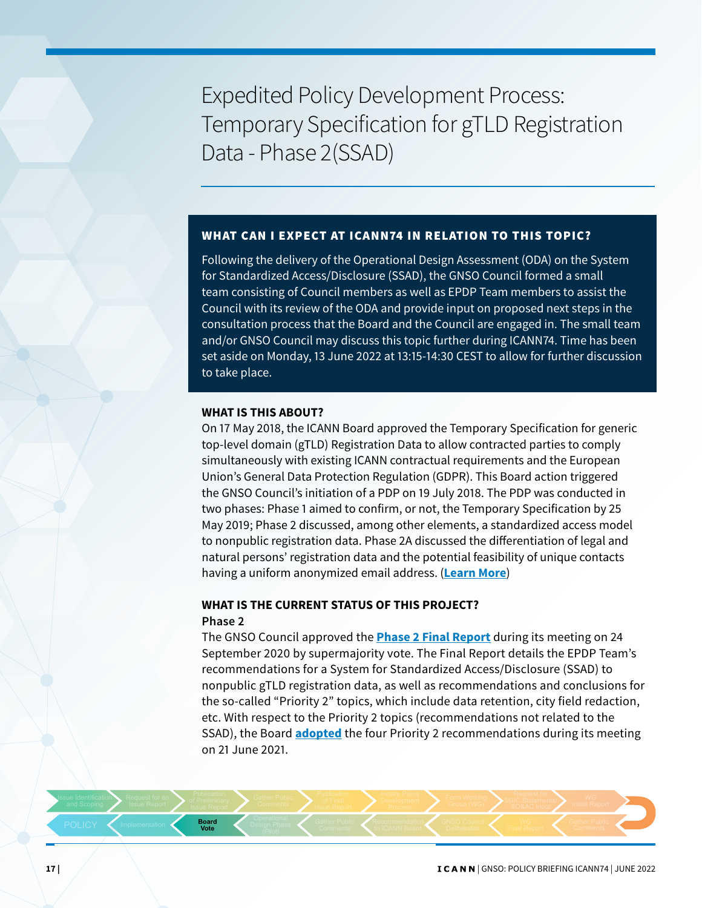Expedited Policy Development Process: Temporary Specification for gTLD Registration Data - Phase 2(SSAD)

### WHAT CAN LEXPECT AT ICANN74 IN RELATION TO THIS TOPIC?

Following the delivery of the Operational Design Assessment (ODA) on the System for Standardized Access/Disclosure (SSAD), the GNSO Council formed a small team consisting of Council members as well as EPDP Team members to assist the Council with its review of the ODA and provide input on proposed next steps in the consultation process that the Board and the Council are engaged in. The small team and/or GNSO Council may discuss this topic further during ICANN74. Time has been set aside on Monday, 13 June 2022 at 13:15-14:30 CEST to allow for further discussion to take place.

#### **WHAT IS THIS ABOUT?**

On 17 May 2018, the ICANN Board approved the Temporary Specification for generic top-level domain (gTLD) Registration Data to allow contracted parties to comply simultaneously with existing ICANN contractual requirements and the European Union's General Data Protection Regulation (GDPR). This Board action triggered the GNSO Council's initiation of a PDP on 19 July 2018. The PDP was conducted in two phases: Phase 1 aimed to confirm, or not, the Temporary Specification by 25 May 2019; Phase 2 discussed, among other elements, a standardized access model to nonpublic registration data. Phase 2A discussed the differentiation of legal and natural persons' registration data and the potential feasibility of unique contacts having a uniform anonymized email address. (**[Learn More](https://gnso.icann.org/en/group-activities/active/gtld-registration-data-epdp-phase-2)**)

## **WHAT IS THE CURRENT STATUS OF THIS PROJECT? Phase 2**

The GNSO Council approved the **[Phase 2 Final Report](https://gnso.icann.org/sites/default/files/file/field-file-attach/epdp-phase-2-temp-spec-gtld-registration-data-2-31jul20-en.pdf)** during its meeting on 24 September 2020 by supermajority vote. The Final Report details the EPDP Team's recommendations for a System for Standardized Access/Disclosure (SSAD) to nonpublic gTLD registration data, as well as recommendations and conclusions for the so-called "Priority 2" topics, which include data retention, city field redaction, etc. With respect to the Priority 2 topics (recommendations not related to the SSAD), the Board **[adopted](https://www.icann.org/resources/board-material/resolutions-2021-06-21-en)** the four Priority 2 recommendations during its meeting on 21 June 2021.

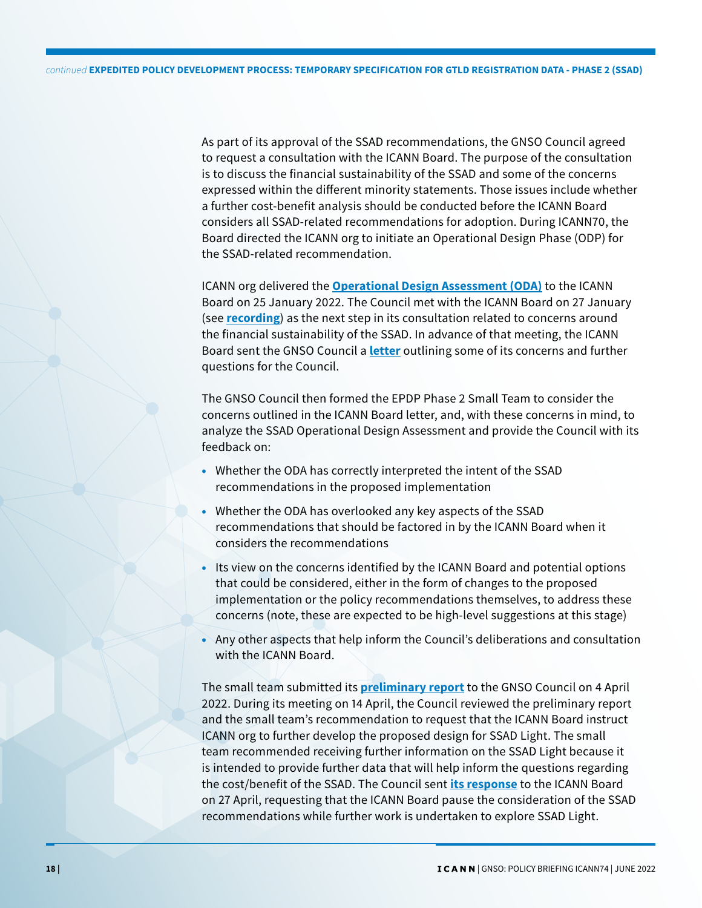As part of its approval of the SSAD recommendations, the GNSO Council agreed to request a consultation with the ICANN Board. The purpose of the consultation is to discuss the financial sustainability of the SSAD and some of the concerns expressed within the different minority statements. Those issues include whether a further cost-benefit analysis should be conducted before the ICANN Board considers all SSAD-related recommendations for adoption. During ICANN70, the Board directed the ICANN org to initiate an Operational Design Phase (ODP) for the SSAD-related recommendation.

ICANN org delivered the **[Operational Design Assessment \(ODA\)](https://www.icann.org/en/system/files/files/ssad-oda-25jan22-en.pdf)** to the ICANN Board on 25 January 2022. The Council met with the ICANN Board on 27 January (see **[recording](https://icann.zoom.us/rec/play/S6TSlJMG9cWvchixu57vUuL2QsgikfRYJ2L2gnAuizQ5kXcqiehMCyGn5d6-OvSRkLW4GxOTwnOqTaZ6.3cBbQpJ2LgDmby2g?continueMode=true&_x_zm_rtaid=kmDB-0pcSOy9wVsYpLkLsw.1653588099182.4a761823b010095e60940ed9a6ef89f0&_x_zm_rhtaid=640)**) as the next step in its consultation related to concerns around the financial sustainability of the SSAD. In advance of that meeting, the ICANN Board sent the GNSO Council a **[letter](https://gnso.icann.org/sites/default/files/policy/2022/correspondence/botterman-to-fouquart-24jan22-en.pdf)** outlining some of its concerns and further questions for the Council.

The GNSO Council then formed the EPDP Phase 2 Small Team to consider the concerns outlined in the ICANN Board letter, and, with these concerns in mind, to analyze the SSAD Operational Design Assessment and provide the Council with its feedback on:

- Whether the ODA has correctly interpreted the intent of the SSAD recommendations in the proposed implementation
- Whether the ODA has overlooked any key aspects of the SSAD recommendations that should be factored in by the ICANN Board when it considers the recommendations
- Its view on the concerns identified by the ICANN Board and potential options that could be considered, either in the form of changes to the proposed implementation or the policy recommendations themselves, to address these concerns (note, these are expected to be high-level suggestions at this stage)
- Any other aspects that help inform the Council's deliberations and consultation with the ICANN Board.

The small team submitted its **[preliminary report](https://gnso.icann.org/sites/default/files/policy/2022/correspondence/ducos-to-gnso-council-et-al-04apr22-en.pdf)** to the GNSO Council on 4 April 2022. During its meeting on 14 April, the Council reviewed the preliminary report and the small team's recommendation to request that the ICANN Board instruct ICANN org to further develop the proposed design for SSAD Light. The small team recommended receiving further information on the SSAD Light because it is intended to provide further data that will help inform the questions regarding the cost/benefit of the SSAD. The Council sent **[its response](https://gnso.icann.org/sites/default/files/policy/2022/correspondence/fouquart-to-botterman-27apr22-en.pdf)** to the ICANN Board on 27 April, requesting that the ICANN Board pause the consideration of the SSAD recommendations while further work is undertaken to explore SSAD Light.